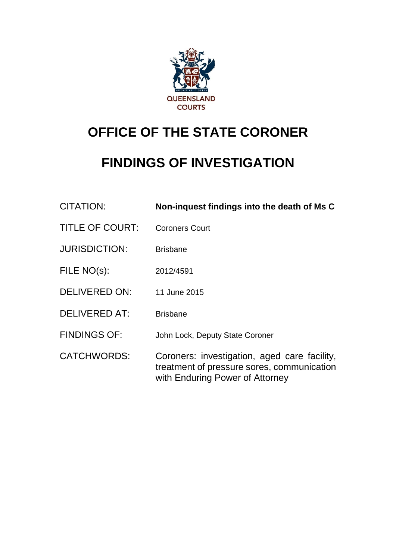

# **OFFICE OF THE STATE CORONER**

# **FINDINGS OF INVESTIGATION**

| <b>CITATION:</b>       | Non-inquest findings into the death of Ms C                                                                                   |
|------------------------|-------------------------------------------------------------------------------------------------------------------------------|
| <b>TITLE OF COURT:</b> | <b>Coroners Court</b>                                                                                                         |
| <b>JURISDICTION:</b>   | <b>Brisbane</b>                                                                                                               |
| FILE NO(s):            | 2012/4591                                                                                                                     |
| <b>DELIVERED ON:</b>   | 11 June 2015                                                                                                                  |
| <b>DELIVERED AT:</b>   | <b>Brisbane</b>                                                                                                               |
| <b>FINDINGS OF:</b>    | John Lock, Deputy State Coroner                                                                                               |
| <b>CATCHWORDS:</b>     | Coroners: investigation, aged care facility,<br>treatment of pressure sores, communication<br>with Enduring Power of Attorney |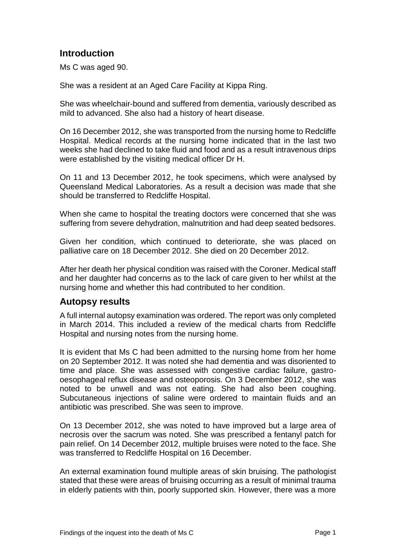# **Introduction**

Ms C was aged 90.

She was a resident at an Aged Care Facility at Kippa Ring.

She was wheelchair-bound and suffered from dementia, variously described as mild to advanced. She also had a history of heart disease.

On 16 December 2012, she was transported from the nursing home to Redcliffe Hospital. Medical records at the nursing home indicated that in the last two weeks she had declined to take fluid and food and as a result intravenous drips were established by the visiting medical officer Dr H.

On 11 and 13 December 2012, he took specimens, which were analysed by Queensland Medical Laboratories. As a result a decision was made that she should be transferred to Redcliffe Hospital.

When she came to hospital the treating doctors were concerned that she was suffering from severe dehydration, malnutrition and had deep seated bedsores.

Given her condition, which continued to deteriorate, she was placed on palliative care on 18 December 2012. She died on 20 December 2012.

After her death her physical condition was raised with the Coroner. Medical staff and her daughter had concerns as to the lack of care given to her whilst at the nursing home and whether this had contributed to her condition.

# **Autopsy results**

A full internal autopsy examination was ordered. The report was only completed in March 2014. This included a review of the medical charts from Redcliffe Hospital and nursing notes from the nursing home.

It is evident that Ms C had been admitted to the nursing home from her home on 20 September 2012. It was noted she had dementia and was disoriented to time and place. She was assessed with congestive cardiac failure, gastrooesophageal reflux disease and osteoporosis. On 3 December 2012, she was noted to be unwell and was not eating. She had also been coughing. Subcutaneous injections of saline were ordered to maintain fluids and an antibiotic was prescribed. She was seen to improve.

On 13 December 2012, she was noted to have improved but a large area of necrosis over the sacrum was noted. She was prescribed a fentanyl patch for pain relief. On 14 December 2012, multiple bruises were noted to the face. She was transferred to Redcliffe Hospital on 16 December.

An external examination found multiple areas of skin bruising. The pathologist stated that these were areas of bruising occurring as a result of minimal trauma in elderly patients with thin, poorly supported skin. However, there was a more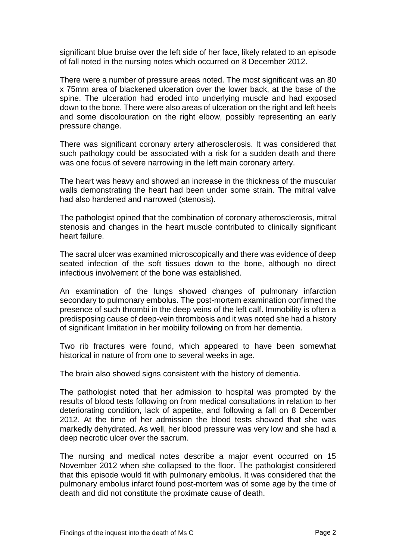significant blue bruise over the left side of her face, likely related to an episode of fall noted in the nursing notes which occurred on 8 December 2012.

There were a number of pressure areas noted. The most significant was an 80 x 75mm area of blackened ulceration over the lower back, at the base of the spine. The ulceration had eroded into underlying muscle and had exposed down to the bone. There were also areas of ulceration on the right and left heels and some discolouration on the right elbow, possibly representing an early pressure change.

There was significant coronary artery atherosclerosis. It was considered that such pathology could be associated with a risk for a sudden death and there was one focus of severe narrowing in the left main coronary artery.

The heart was heavy and showed an increase in the thickness of the muscular walls demonstrating the heart had been under some strain. The mitral valve had also hardened and narrowed (stenosis).

The pathologist opined that the combination of coronary atherosclerosis, mitral stenosis and changes in the heart muscle contributed to clinically significant heart failure.

The sacral ulcer was examined microscopically and there was evidence of deep seated infection of the soft tissues down to the bone, although no direct infectious involvement of the bone was established.

An examination of the lungs showed changes of pulmonary infarction secondary to pulmonary embolus. The post-mortem examination confirmed the presence of such thrombi in the deep veins of the left calf. Immobility is often a predisposing cause of deep-vein thrombosis and it was noted she had a history of significant limitation in her mobility following on from her dementia.

Two rib fractures were found, which appeared to have been somewhat historical in nature of from one to several weeks in age.

The brain also showed signs consistent with the history of dementia.

The pathologist noted that her admission to hospital was prompted by the results of blood tests following on from medical consultations in relation to her deteriorating condition, lack of appetite, and following a fall on 8 December 2012. At the time of her admission the blood tests showed that she was markedly dehydrated. As well, her blood pressure was very low and she had a deep necrotic ulcer over the sacrum.

The nursing and medical notes describe a major event occurred on 15 November 2012 when she collapsed to the floor. The pathologist considered that this episode would fit with pulmonary embolus. It was considered that the pulmonary embolus infarct found post-mortem was of some age by the time of death and did not constitute the proximate cause of death.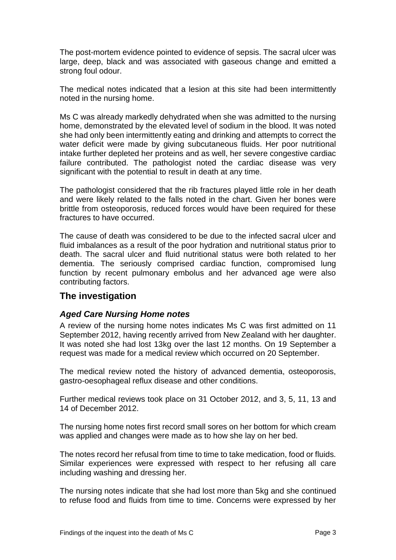The post-mortem evidence pointed to evidence of sepsis. The sacral ulcer was large, deep, black and was associated with gaseous change and emitted a strong foul odour.

The medical notes indicated that a lesion at this site had been intermittently noted in the nursing home.

Ms C was already markedly dehydrated when she was admitted to the nursing home, demonstrated by the elevated level of sodium in the blood. It was noted she had only been intermittently eating and drinking and attempts to correct the water deficit were made by giving subcutaneous fluids. Her poor nutritional intake further depleted her proteins and as well, her severe congestive cardiac failure contributed. The pathologist noted the cardiac disease was very significant with the potential to result in death at any time.

The pathologist considered that the rib fractures played little role in her death and were likely related to the falls noted in the chart. Given her bones were brittle from osteoporosis, reduced forces would have been required for these fractures to have occurred.

The cause of death was considered to be due to the infected sacral ulcer and fluid imbalances as a result of the poor hydration and nutritional status prior to death. The sacral ulcer and fluid nutritional status were both related to her dementia. The seriously comprised cardiac function, compromised lung function by recent pulmonary embolus and her advanced age were also contributing factors.

# **The investigation**

#### *Aged Care Nursing Home notes*

A review of the nursing home notes indicates Ms C was first admitted on 11 September 2012, having recently arrived from New Zealand with her daughter. It was noted she had lost 13kg over the last 12 months. On 19 September a request was made for a medical review which occurred on 20 September.

The medical review noted the history of advanced dementia, osteoporosis, gastro-oesophageal reflux disease and other conditions.

Further medical reviews took place on 31 October 2012, and 3, 5, 11, 13 and 14 of December 2012.

The nursing home notes first record small sores on her bottom for which cream was applied and changes were made as to how she lay on her bed.

The notes record her refusal from time to time to take medication, food or fluids. Similar experiences were expressed with respect to her refusing all care including washing and dressing her.

The nursing notes indicate that she had lost more than 5kg and she continued to refuse food and fluids from time to time. Concerns were expressed by her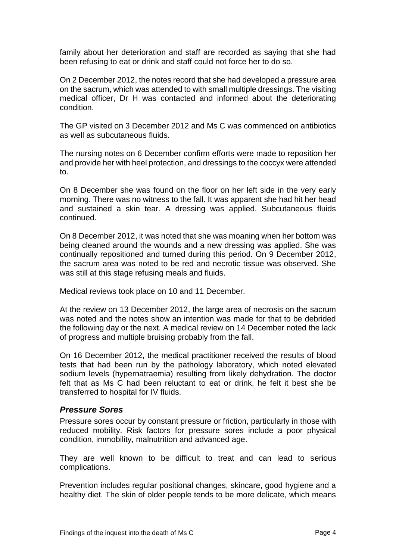family about her deterioration and staff are recorded as saying that she had been refusing to eat or drink and staff could not force her to do so.

On 2 December 2012, the notes record that she had developed a pressure area on the sacrum, which was attended to with small multiple dressings. The visiting medical officer, Dr H was contacted and informed about the deteriorating condition.

The GP visited on 3 December 2012 and Ms C was commenced on antibiotics as well as subcutaneous fluids.

The nursing notes on 6 December confirm efforts were made to reposition her and provide her with heel protection, and dressings to the coccyx were attended to.

On 8 December she was found on the floor on her left side in the very early morning. There was no witness to the fall. It was apparent she had hit her head and sustained a skin tear. A dressing was applied. Subcutaneous fluids continued.

On 8 December 2012, it was noted that she was moaning when her bottom was being cleaned around the wounds and a new dressing was applied. She was continually repositioned and turned during this period. On 9 December 2012, the sacrum area was noted to be red and necrotic tissue was observed. She was still at this stage refusing meals and fluids.

Medical reviews took place on 10 and 11 December.

At the review on 13 December 2012, the large area of necrosis on the sacrum was noted and the notes show an intention was made for that to be debrided the following day or the next. A medical review on 14 December noted the lack of progress and multiple bruising probably from the fall.

On 16 December 2012, the medical practitioner received the results of blood tests that had been run by the pathology laboratory, which noted elevated sodium levels (hypernatraemia) resulting from likely dehydration. The doctor felt that as Ms C had been reluctant to eat or drink, he felt it best she be transferred to hospital for IV fluids.

#### *Pressure Sores*

Pressure sores occur by constant pressure or friction, particularly in those with reduced mobility. Risk factors for pressure sores include a poor physical condition, immobility, malnutrition and advanced age.

They are well known to be difficult to treat and can lead to serious complications.

Prevention includes regular positional changes, skincare, good hygiene and a healthy diet. The skin of older people tends to be more delicate, which means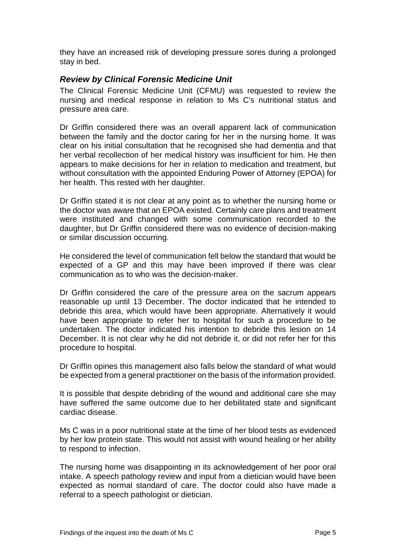they have an increased risk of developing pressure sores during a prolonged stay in bed.

### *Review by Clinical Forensic Medicine Unit*

The Clinical Forensic Medicine Unit (CFMU) was requested to review the nursing and medical response in relation to Ms C's nutritional status and pressure area care.

Dr Griffin considered there was an overall apparent lack of communication between the family and the doctor caring for her in the nursing home. It was clear on his initial consultation that he recognised she had dementia and that her verbal recollection of her medical history was insufficient for him. He then appears to make decisions for her in relation to medication and treatment, but without consultation with the appointed Enduring Power of Attorney (EPOA) for her health. This rested with her daughter.

Dr Griffin stated it is not clear at any point as to whether the nursing home or the doctor was aware that an EPOA existed. Certainly care plans and treatment were instituted and changed with some communication recorded to the daughter, but Dr Griffin considered there was no evidence of decision-making or similar discussion occurring.

He considered the level of communication fell below the standard that would be expected of a GP and this may have been improved if there was clear communication as to who was the decision-maker.

Dr Griffin considered the care of the pressure area on the sacrum appears reasonable up until 13 December. The doctor indicated that he intended to debride this area, which would have been appropriate. Alternatively it would have been appropriate to refer her to hospital for such a procedure to be undertaken. The doctor indicated his intention to debride this lesion on 14 December. It is not clear why he did not debride it, or did not refer her for this procedure to hospital.

Dr Griffin opines this management also falls below the standard of what would be expected from a general practitioner on the basis of the information provided.

It is possible that despite debriding of the wound and additional care she may have suffered the same outcome due to her debilitated state and significant cardiac disease.

Ms C was in a poor nutritional state at the time of her blood tests as evidenced by her low protein state. This would not assist with wound healing or her ability to respond to infection.

The nursing home was disappointing in its acknowledgement of her poor oral intake. A speech pathology review and input from a dietician would have been expected as normal standard of care. The doctor could also have made a referral to a speech pathologist or dietician.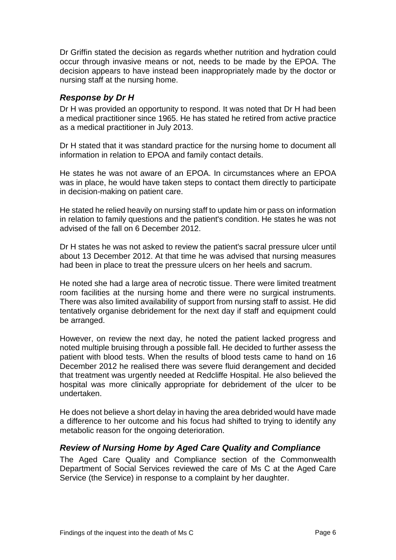Dr Griffin stated the decision as regards whether nutrition and hydration could occur through invasive means or not, needs to be made by the EPOA. The decision appears to have instead been inappropriately made by the doctor or nursing staff at the nursing home.

### *Response by Dr H*

Dr H was provided an opportunity to respond. It was noted that Dr H had been a medical practitioner since 1965. He has stated he retired from active practice as a medical practitioner in July 2013.

Dr H stated that it was standard practice for the nursing home to document all information in relation to EPOA and family contact details.

He states he was not aware of an EPOA. In circumstances where an EPOA was in place, he would have taken steps to contact them directly to participate in decision-making on patient care.

He stated he relied heavily on nursing staff to update him or pass on information in relation to family questions and the patient's condition. He states he was not advised of the fall on 6 December 2012.

Dr H states he was not asked to review the patient's sacral pressure ulcer until about 13 December 2012. At that time he was advised that nursing measures had been in place to treat the pressure ulcers on her heels and sacrum.

He noted she had a large area of necrotic tissue. There were limited treatment room facilities at the nursing home and there were no surgical instruments. There was also limited availability of support from nursing staff to assist. He did tentatively organise debridement for the next day if staff and equipment could be arranged.

However, on review the next day, he noted the patient lacked progress and noted multiple bruising through a possible fall. He decided to further assess the patient with blood tests. When the results of blood tests came to hand on 16 December 2012 he realised there was severe fluid derangement and decided that treatment was urgently needed at Redcliffe Hospital. He also believed the hospital was more clinically appropriate for debridement of the ulcer to be undertaken.

He does not believe a short delay in having the area debrided would have made a difference to her outcome and his focus had shifted to trying to identify any metabolic reason for the ongoing deterioration.

#### *Review of Nursing Home by Aged Care Quality and Compliance*

The Aged Care Quality and Compliance section of the Commonwealth Department of Social Services reviewed the care of Ms C at the Aged Care Service (the Service) in response to a complaint by her daughter.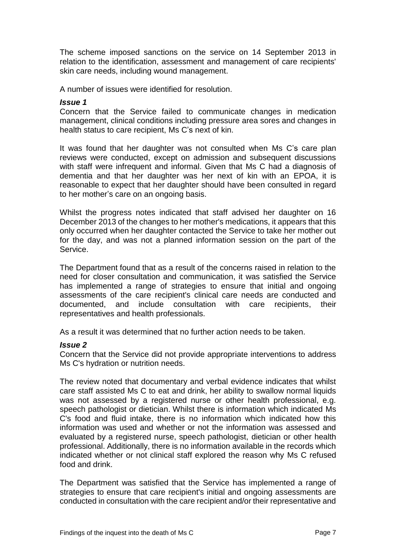The scheme imposed sanctions on the service on 14 September 2013 in relation to the identification, assessment and management of care recipients' skin care needs, including wound management.

A number of issues were identified for resolution.

#### *Issue 1*

Concern that the Service failed to communicate changes in medication management, clinical conditions including pressure area sores and changes in health status to care recipient, Ms C's next of kin.

It was found that her daughter was not consulted when Ms C's care plan reviews were conducted, except on admission and subsequent discussions with staff were infrequent and informal. Given that Ms C had a diagnosis of dementia and that her daughter was her next of kin with an EPOA, it is reasonable to expect that her daughter should have been consulted in regard to her mother's care on an ongoing basis.

Whilst the progress notes indicated that staff advised her daughter on 16 December 2013 of the changes to her mother's medications, it appears that this only occurred when her daughter contacted the Service to take her mother out for the day, and was not a planned information session on the part of the Service.

The Department found that as a result of the concerns raised in relation to the need for closer consultation and communication, it was satisfied the Service has implemented a range of strategies to ensure that initial and ongoing assessments of the care recipient's clinical care needs are conducted and documented, and include consultation with care recipients, their representatives and health professionals.

As a result it was determined that no further action needs to be taken.

#### *Issue 2*

Concern that the Service did not provide appropriate interventions to address Ms C's hydration or nutrition needs.

The review noted that documentary and verbal evidence indicates that whilst care staff assisted Ms C to eat and drink, her ability to swallow normal liquids was not assessed by a registered nurse or other health professional, e.g. speech pathologist or dietician. Whilst there is information which indicated Ms C's food and fluid intake, there is no information which indicated how this information was used and whether or not the information was assessed and evaluated by a registered nurse, speech pathologist, dietician or other health professional. Additionally, there is no information available in the records which indicated whether or not clinical staff explored the reason why Ms C refused food and drink.

The Department was satisfied that the Service has implemented a range of strategies to ensure that care recipient's initial and ongoing assessments are conducted in consultation with the care recipient and/or their representative and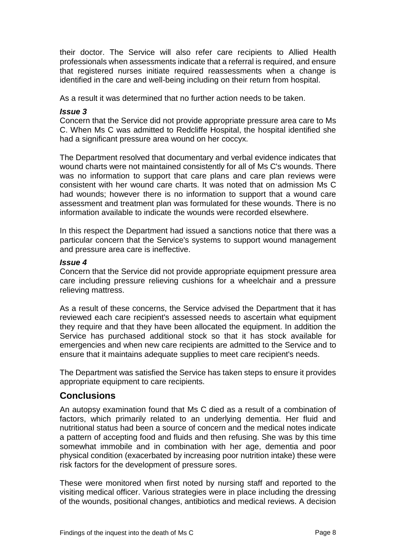their doctor. The Service will also refer care recipients to Allied Health professionals when assessments indicate that a referral is required, and ensure that registered nurses initiate required reassessments when a change is identified in the care and well-being including on their return from hospital.

As a result it was determined that no further action needs to be taken.

#### *Issue 3*

Concern that the Service did not provide appropriate pressure area care to Ms C. When Ms C was admitted to Redcliffe Hospital, the hospital identified she had a significant pressure area wound on her coccyx.

The Department resolved that documentary and verbal evidence indicates that wound charts were not maintained consistently for all of Ms C's wounds. There was no information to support that care plans and care plan reviews were consistent with her wound care charts. It was noted that on admission Ms C had wounds; however there is no information to support that a wound care assessment and treatment plan was formulated for these wounds. There is no information available to indicate the wounds were recorded elsewhere.

In this respect the Department had issued a sanctions notice that there was a particular concern that the Service's systems to support wound management and pressure area care is ineffective.

#### *Issue 4*

Concern that the Service did not provide appropriate equipment pressure area care including pressure relieving cushions for a wheelchair and a pressure relieving mattress.

As a result of these concerns, the Service advised the Department that it has reviewed each care recipient's assessed needs to ascertain what equipment they require and that they have been allocated the equipment. In addition the Service has purchased additional stock so that it has stock available for emergencies and when new care recipients are admitted to the Service and to ensure that it maintains adequate supplies to meet care recipient's needs.

The Department was satisfied the Service has taken steps to ensure it provides appropriate equipment to care recipients.

# **Conclusions**

An autopsy examination found that Ms C died as a result of a combination of factors, which primarily related to an underlying dementia. Her fluid and nutritional status had been a source of concern and the medical notes indicate a pattern of accepting food and fluids and then refusing. She was by this time somewhat immobile and in combination with her age, dementia and poor physical condition (exacerbated by increasing poor nutrition intake) these were risk factors for the development of pressure sores.

These were monitored when first noted by nursing staff and reported to the visiting medical officer. Various strategies were in place including the dressing of the wounds, positional changes, antibiotics and medical reviews. A decision